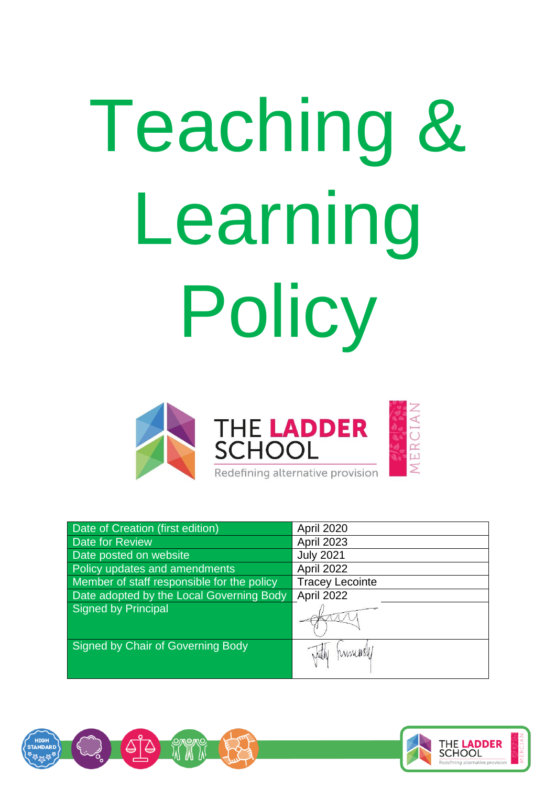# Teaching & Learning Policy



| <b>Date of Creation (first edition)</b>    | April 2020             |
|--------------------------------------------|------------------------|
| Date for Review                            | April 2023             |
| Date posted on website                     | <b>July 2021</b>       |
| Policy updates and amendments              | April 2022             |
| Member of staff responsible for the policy | <b>Tracey Lecointe</b> |
| Date adopted by the Local Governing Body   | April 2022             |
| Signed by Principal                        |                        |
| Signed by Chair of Governing Body          | WWW USH.               |



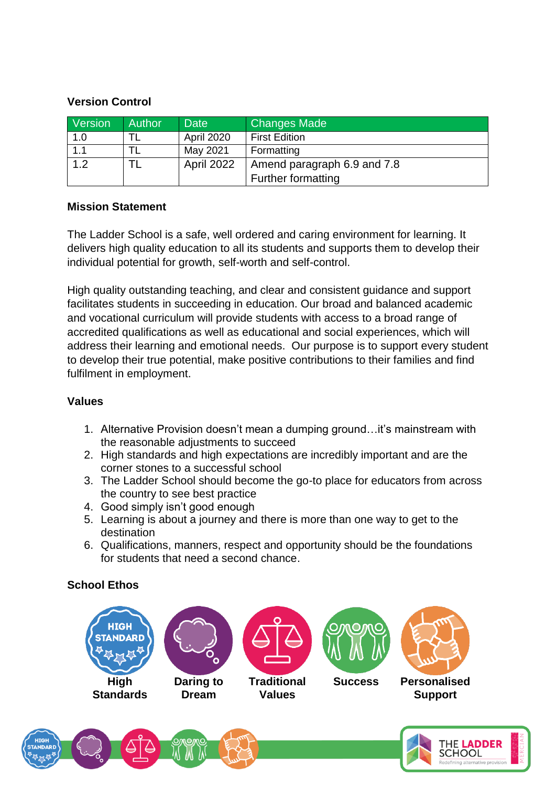#### **Version Control**

| Version | <b>Author</b> | <b>Date</b> | <b>Changes Made</b>         |
|---------|---------------|-------------|-----------------------------|
| 1.0     |               | April 2020  | <b>First Edition</b>        |
| 1.1     |               | May 2021    | Formatting                  |
| 1.2     |               | April 2022  | Amend paragraph 6.9 and 7.8 |
|         |               |             | <b>Further formatting</b>   |

#### **Mission Statement**

The Ladder School is a safe, well ordered and caring environment for learning. It delivers high quality education to all its students and supports them to develop their individual potential for growth, self-worth and self-control.

High quality outstanding teaching, and clear and consistent guidance and support facilitates students in succeeding in education. Our broad and balanced academic and vocational curriculum will provide students with access to a broad range of accredited qualifications as well as educational and social experiences, which will address their learning and emotional needs. Our purpose is to support every student to develop their true potential, make positive contributions to their families and find fulfilment in employment.

# **Values**

- 1. Alternative Provision doesn't mean a dumping ground…it's mainstream with the reasonable adjustments to succeed
- 2. High standards and high expectations are incredibly important and are the corner stones to a successful school
- 3. The Ladder School should become the go-to place for educators from across the country to see best practice
- 4. Good simply isn't good enough
- 5. Learning is about a journey and there is more than one way to get to the destination
- 6. Qualifications, manners, respect and opportunity should be the foundations for students that need a second chance.

# **School Ethos**

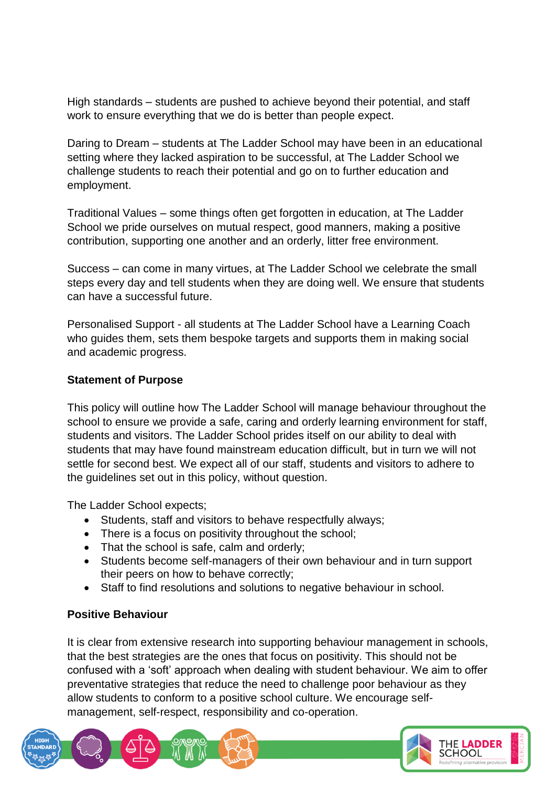High standards – students are pushed to achieve beyond their potential, and staff work to ensure everything that we do is better than people expect.

Daring to Dream – students at The Ladder School may have been in an educational setting where they lacked aspiration to be successful, at The Ladder School we challenge students to reach their potential and go on to further education and employment.

Traditional Values – some things often get forgotten in education, at The Ladder School we pride ourselves on mutual respect, good manners, making a positive contribution, supporting one another and an orderly, litter free environment.

Success – can come in many virtues, at The Ladder School we celebrate the small steps every day and tell students when they are doing well. We ensure that students can have a successful future.

Personalised Support - all students at The Ladder School have a Learning Coach who guides them, sets them bespoke targets and supports them in making social and academic progress.

# **Statement of Purpose**

This policy will outline how The Ladder School will manage behaviour throughout the school to ensure we provide a safe, caring and orderly learning environment for staff, students and visitors. The Ladder School prides itself on our ability to deal with students that may have found mainstream education difficult, but in turn we will not settle for second best. We expect all of our staff, students and visitors to adhere to the guidelines set out in this policy, without question.

The Ladder School expects;

- Students, staff and visitors to behave respectfully always;
- There is a focus on positivity throughout the school;
- That the school is safe, calm and orderly:
- Students become self-managers of their own behaviour and in turn support their peers on how to behave correctly;
- Staff to find resolutions and solutions to negative behaviour in school.

#### **Positive Behaviour**

It is clear from extensive research into supporting behaviour management in schools, that the best strategies are the ones that focus on positivity. This should not be confused with a 'soft' approach when dealing with student behaviour. We aim to offer preventative strategies that reduce the need to challenge poor behaviour as they allow students to conform to a positive school culture. We encourage selfmanagement, self-respect, responsibility and co-operation.

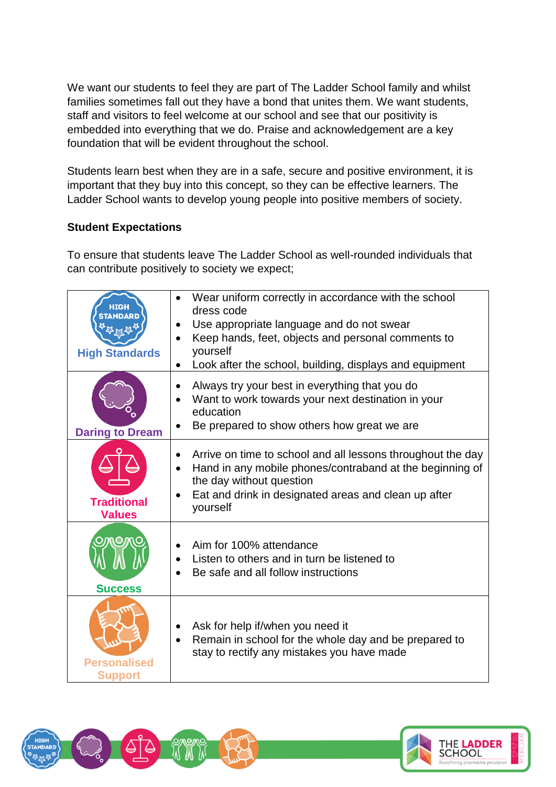We want our students to feel they are part of The Ladder School family and whilst families sometimes fall out they have a bond that unites them. We want students, staff and visitors to feel welcome at our school and see that our positivity is embedded into everything that we do. Praise and acknowledgement are a key foundation that will be evident throughout the school.

Students learn best when they are in a safe, secure and positive environment, it is important that they buy into this concept, so they can be effective learners. The Ladder School wants to develop young people into positive members of society.

# **Student Expectations**

To ensure that students leave The Ladder School as well-rounded individuals that can contribute positively to society we expect;

| <b>High Standards</b>                 | Wear uniform correctly in accordance with the school<br>$\bullet$<br>dress code<br>Use appropriate language and do not swear<br>$\bullet$<br>Keep hands, feet, objects and personal comments to<br>yourself<br>Look after the school, building, displays and equipment |
|---------------------------------------|------------------------------------------------------------------------------------------------------------------------------------------------------------------------------------------------------------------------------------------------------------------------|
| <b>Daring to Dream</b>                | Always try your best in everything that you do<br>$\bullet$<br>Want to work towards your next destination in your<br>$\bullet$<br>education<br>Be prepared to show others how great we are                                                                             |
| <b>Traditional</b><br><b>Values</b>   | Arrive on time to school and all lessons throughout the day<br>Hand in any mobile phones/contraband at the beginning of<br>$\bullet$<br>the day without question<br>Eat and drink in designated areas and clean up after<br>$\bullet$<br>yourself                      |
| <b>Success</b>                        | Aim for 100% attendance<br>$\bullet$<br>Listen to others and in turn be listened to<br>Be safe and all follow instructions                                                                                                                                             |
| <b>Personalised</b><br><b>Support</b> | Ask for help if/when you need it<br>Remain in school for the whole day and be prepared to<br>$\bullet$<br>stay to rectify any mistakes you have made                                                                                                                   |



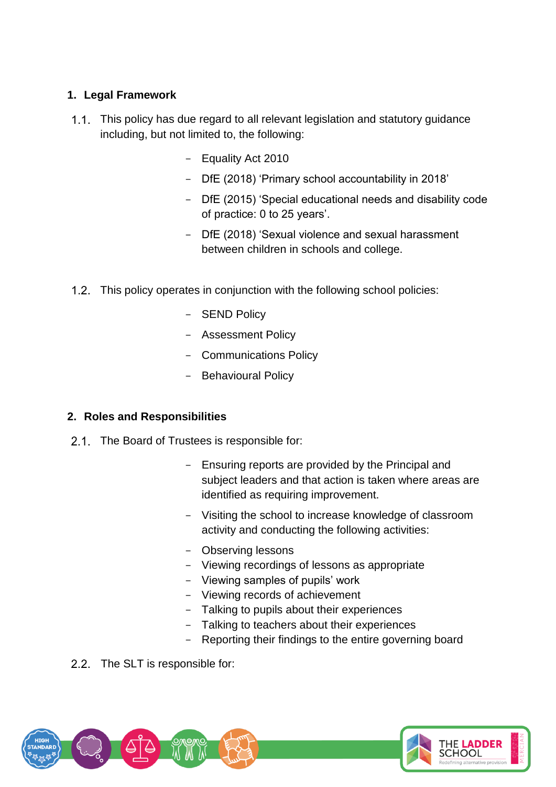# **1. Legal Framework**

- 1.1. This policy has due regard to all relevant legislation and statutory guidance including, but not limited to, the following:
	- Equality Act 2010
	- DfE (2018) 'Primary school accountability in 2018'
	- DfE (2015) 'Special educational needs and disability code of practice: 0 to 25 years'.
	- DfE (2018) 'Sexual violence and sexual harassment between children in schools and college.
- 1.2. This policy operates in conjunction with the following school policies:
	- **SEND Policy**
	- Assessment Policy
	- Communications Policy
	- Behavioural Policy

# **2. Roles and Responsibilities**

- 2.1. The Board of Trustees is responsible for:
	- Ensuring reports are provided by the Principal and subject leaders and that action is taken where areas are identified as requiring improvement.
	- Visiting the school to increase knowledge of classroom activity and conducting the following activities:
	- Observing lessons
	- Viewing recordings of lessons as appropriate
	- Viewing samples of pupils' work
	- Viewing records of achievement
	- Talking to pupils about their experiences
	- Talking to teachers about their experiences
	- Reporting their findings to the entire governing board
- 2.2. The SLT is responsible for:

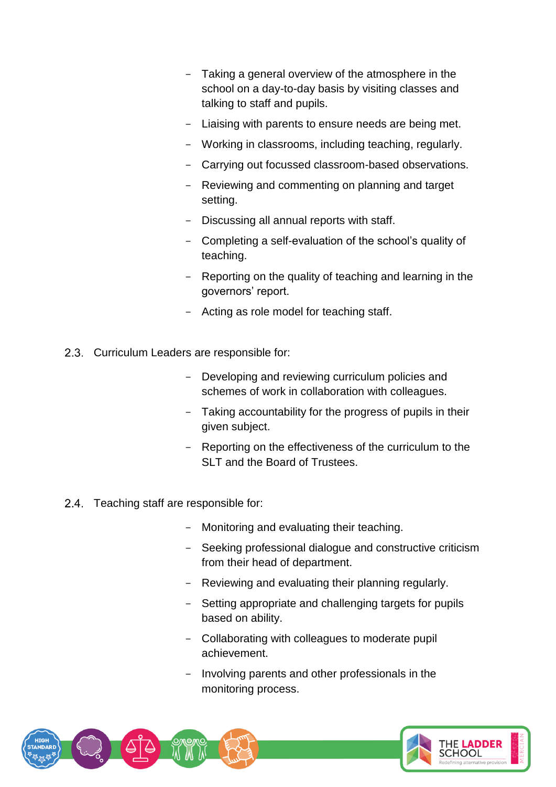- Taking a general overview of the atmosphere in the school on a day-to-day basis by visiting classes and talking to staff and pupils.
- Liaising with parents to ensure needs are being met.
- Working in classrooms, including teaching, regularly.
- Carrying out focussed classroom-based observations.
- Reviewing and commenting on planning and target setting.
- Discussing all annual reports with staff.
- Completing a self-evaluation of the school's quality of teaching.
- Reporting on the quality of teaching and learning in the governors' report.
- Acting as role model for teaching staff.
- 2.3. Curriculum Leaders are responsible for:
	- Developing and reviewing curriculum policies and schemes of work in collaboration with colleagues.
	- Taking accountability for the progress of pupils in their given subject.
	- Reporting on the effectiveness of the curriculum to the SLT and the Board of Trustees.
- 2.4. Teaching staff are responsible for:
	- Monitoring and evaluating their teaching.
	- Seeking professional dialogue and constructive criticism from their head of department.
	- Reviewing and evaluating their planning regularly.
	- Setting appropriate and challenging targets for pupils based on ability.
	- Collaborating with colleagues to moderate pupil achievement.
	- Involving parents and other professionals in the monitoring process.

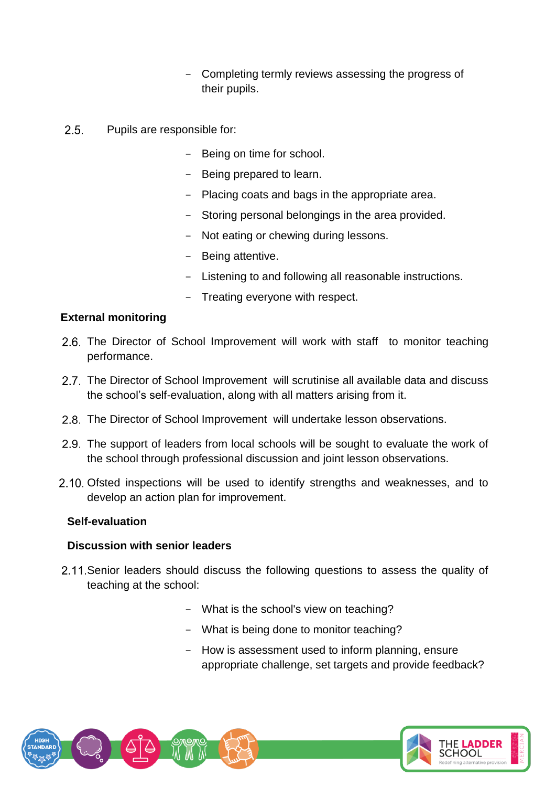- Completing termly reviews assessing the progress of their pupils.
- $2.5.$ Pupils are responsible for:
	- Being on time for school.
	- Being prepared to learn.
	- Placing coats and bags in the appropriate area.
	- Storing personal belongings in the area provided.
	- Not eating or chewing during lessons.
	- Being attentive.
	- Listening to and following all reasonable instructions.
	- Treating everyone with respect.

# **External monitoring**

- 2.6. The Director of School Improvement will work with staff to monitor teaching performance.
- 2.7. The Director of School Improvement will scrutinise all available data and discuss the school's self-evaluation, along with all matters arising from it.
- 2.8. The Director of School Improvement will undertake lesson observations.
- 2.9. The support of leaders from local schools will be sought to evaluate the work of the school through professional discussion and joint lesson observations.
- 2.10. Ofsted inspections will be used to identify strengths and weaknesses, and to develop an action plan for improvement.

# **Self-evaluation**

#### **Discussion with senior leaders**

- 2.11. Senior leaders should discuss the following questions to assess the quality of teaching at the school:
	- What is the school's view on teaching?
	- What is being done to monitor teaching?
	- How is assessment used to inform planning, ensure appropriate challenge, set targets and provide feedback?

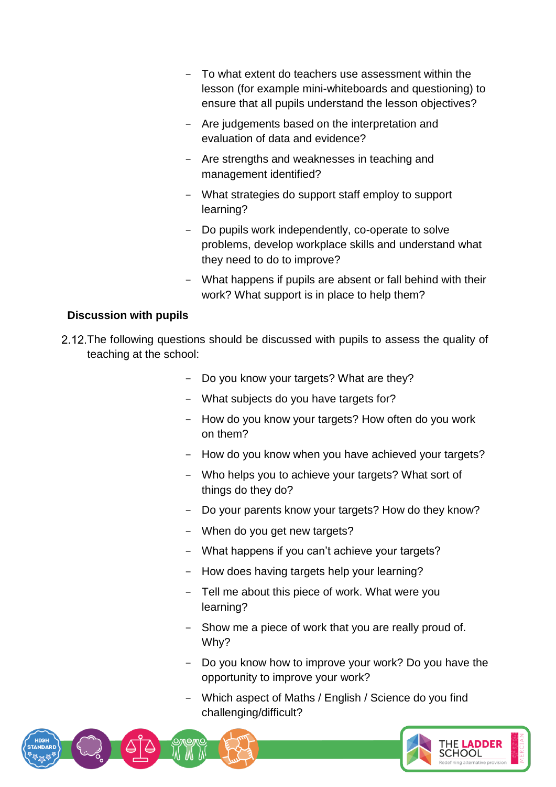- To what extent do teachers use assessment within the lesson (for example mini-whiteboards and questioning) to ensure that all pupils understand the lesson objectives?
- Are judgements based on the interpretation and evaluation of data and evidence?
- Are strengths and weaknesses in teaching and management identified?
- What strategies do support staff employ to support learning?
- Do pupils work independently, co-operate to solve problems, develop workplace skills and understand what they need to do to improve?
- What happens if pupils are absent or fall behind with their work? What support is in place to help them?

#### **Discussion with pupils**

- 2.12. The following questions should be discussed with pupils to assess the quality of teaching at the school:
	- Do you know your targets? What are they?
	- What subjects do you have targets for?
	- How do you know your targets? How often do you work on them?
	- How do you know when you have achieved your targets?
	- Who helps you to achieve your targets? What sort of things do they do?
	- Do your parents know your targets? How do they know?
	- When do you get new targets?
	- What happens if you can't achieve your targets?
	- How does having targets help your learning?
	- Tell me about this piece of work. What were you learning?
	- Show me a piece of work that you are really proud of. Why?
	- Do you know how to improve your work? Do you have the opportunity to improve your work?
	- Which aspect of Maths / English / Science do you find challenging/difficult?

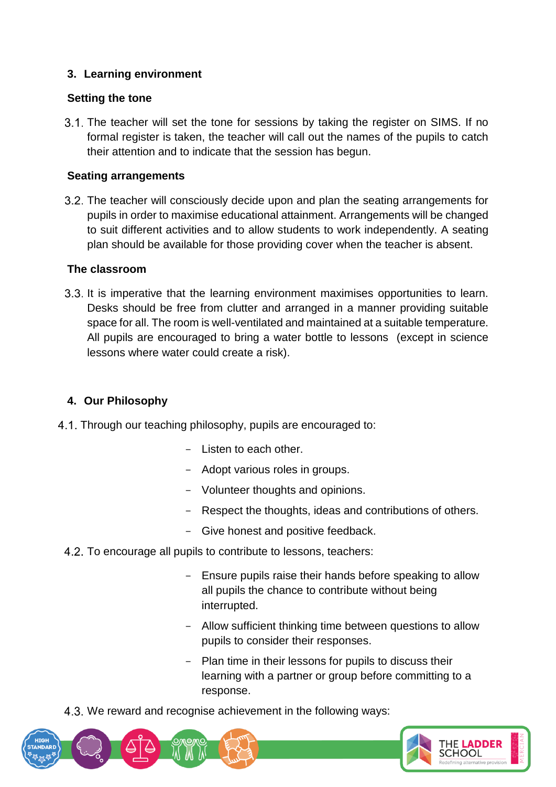# **3. Learning environment**

# **Setting the tone**

3.1. The teacher will set the tone for sessions by taking the register on SIMS. If no formal register is taken, the teacher will call out the names of the pupils to catch their attention and to indicate that the session has begun.

# **Seating arrangements**

The teacher will consciously decide upon and plan the seating arrangements for pupils in order to maximise educational attainment. Arrangements will be changed to suit different activities and to allow students to work independently. A seating plan should be available for those providing cover when the teacher is absent.

# **The classroom**

3.3. It is imperative that the learning environment maximises opportunities to learn. Desks should be free from clutter and arranged in a manner providing suitable space for all. The room is well-ventilated and maintained at a suitable temperature. All pupils are encouraged to bring a water bottle to lessons (except in science lessons where water could create a risk).

# **4. Our Philosophy**

- 4.1. Through our teaching philosophy, pupils are encouraged to:
	- Listen to each other.
	- Adopt various roles in groups.
	- Volunteer thoughts and opinions.
	- Respect the thoughts, ideas and contributions of others.
	- Give honest and positive feedback.
	- 4.2. To encourage all pupils to contribute to lessons, teachers:
		- Ensure pupils raise their hands before speaking to allow all pupils the chance to contribute without being interrupted.
		- Allow sufficient thinking time between questions to allow pupils to consider their responses.
		- Plan time in their lessons for pupils to discuss their learning with a partner or group before committing to a response.

4.3. We reward and recognise achievement in the following ways:

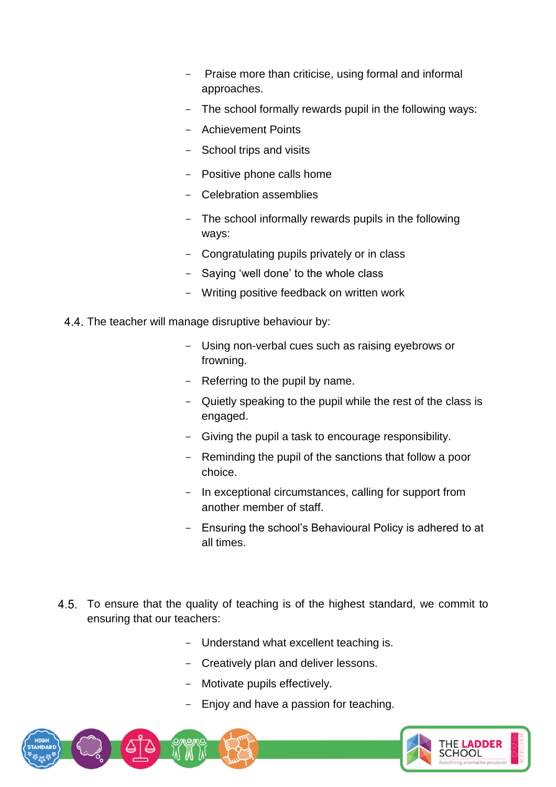- Praise more than criticise, using formal and informal approaches.
- The school formally rewards pupil in the following ways:
- Achievement Points
- School trips and visits
- Positive phone calls home
- Celebration assemblies
- The school informally rewards pupils in the following ways:
- Congratulating pupils privately or in class
- Saying 'well done' to the whole class
- Writing positive feedback on written work
- 4.4. The teacher will manage disruptive behaviour by:
	- Using non-verbal cues such as raising eyebrows or frowning.
	- Referring to the pupil by name.
	- Quietly speaking to the pupil while the rest of the class is engaged.
	- Giving the pupil a task to encourage responsibility.
	- Reminding the pupil of the sanctions that follow a poor choice.
	- In exceptional circumstances, calling for support from another member of staff.
	- Ensuring the school's Behavioural Policy is adhered to at all times.
- 4.5. To ensure that the quality of teaching is of the highest standard, we commit to ensuring that our teachers:
	- Understand what excellent teaching is.
	- Creatively plan and deliver lessons.
	- Motivate pupils effectively.
	- Enjoy and have a passion for teaching.

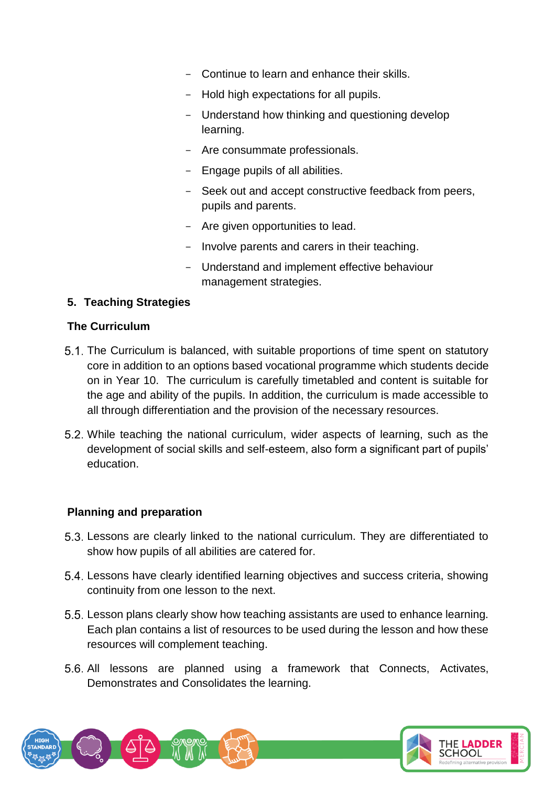- Continue to learn and enhance their skills.
- Hold high expectations for all pupils.
- Understand how thinking and questioning develop learning.
- Are consummate professionals.
- Engage pupils of all abilities.
- Seek out and accept constructive feedback from peers, pupils and parents.
- Are given opportunities to lead.
- Involve parents and carers in their teaching.
- Understand and implement effective behaviour management strategies.

# **5. Teaching Strategies**

#### **The Curriculum**

- The Curriculum is balanced, with suitable proportions of time spent on statutory core in addition to an options based vocational programme which students decide on in Year 10. The curriculum is carefully timetabled and content is suitable for the age and ability of the pupils. In addition, the curriculum is made accessible to all through differentiation and the provision of the necessary resources.
- While teaching the national curriculum, wider aspects of learning, such as the development of social skills and self-esteem, also form a significant part of pupils' education.

# **Planning and preparation**

- Lessons are clearly linked to the national curriculum. They are differentiated to show how pupils of all abilities are catered for.
- Lessons have clearly identified learning objectives and success criteria, showing continuity from one lesson to the next.
- Lesson plans clearly show how teaching assistants are used to enhance learning. Each plan contains a list of resources to be used during the lesson and how these resources will complement teaching.
- 5.6. All lessons are planned using a framework that Connects, Activates, Demonstrates and Consolidates the learning.

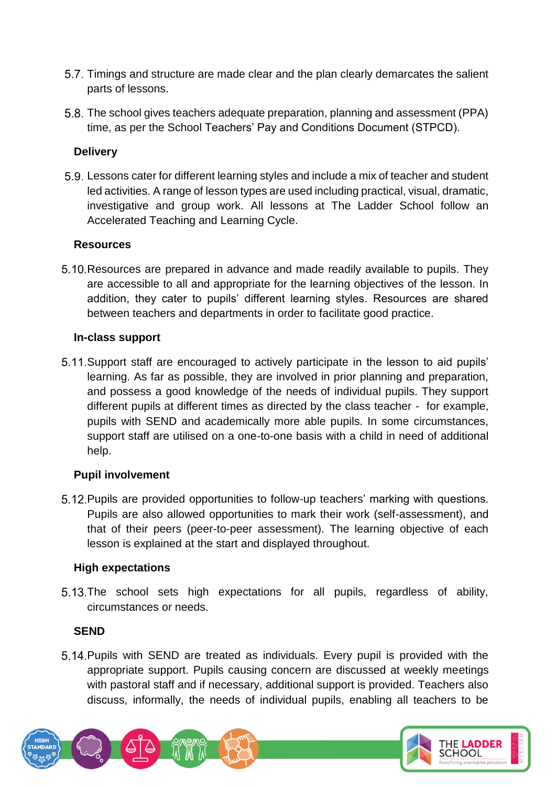- Timings and structure are made clear and the plan clearly demarcates the salient parts of lessons.
- The school gives teachers adequate preparation, planning and assessment (PPA) time, as per the School Teachers' Pay and Conditions Document (STPCD).

# **Delivery**

Lessons cater for different learning styles and include a mix of teacher and student led activities. A range of lesson types are used including practical, visual, dramatic, investigative and group work. All lessons at The Ladder School follow an Accelerated Teaching and Learning Cycle.

# **Resources**

5.10. Resources are prepared in advance and made readily available to pupils. They are accessible to all and appropriate for the learning objectives of the lesson. In addition, they cater to pupils' different learning styles. Resources are shared between teachers and departments in order to facilitate good practice.

# **In-class support**

5.11. Support staff are encouraged to actively participate in the lesson to aid pupils' learning. As far as possible, they are involved in prior planning and preparation, and possess a good knowledge of the needs of individual pupils. They support different pupils at different times as directed by the class teacher - for example, pupils with SEND and academically more able pupils. In some circumstances, support staff are utilised on a one-to-one basis with a child in need of additional help.

# **Pupil involvement**

5.12. Pupils are provided opportunities to follow-up teachers' marking with questions. Pupils are also allowed opportunities to mark their work (self-assessment), and that of their peers (peer-to-peer assessment). The learning objective of each lesson is explained at the start and displayed throughout.

# **High expectations**

5.13. The school sets high expectations for all pupils, regardless of ability, circumstances or needs.

# **SEND**

5.14. Pupils with SEND are treated as individuals. Every pupil is provided with the appropriate support. Pupils causing concern are discussed at weekly meetings with pastoral staff and if necessary, additional support is provided. Teachers also discuss, informally, the needs of individual pupils, enabling all teachers to be

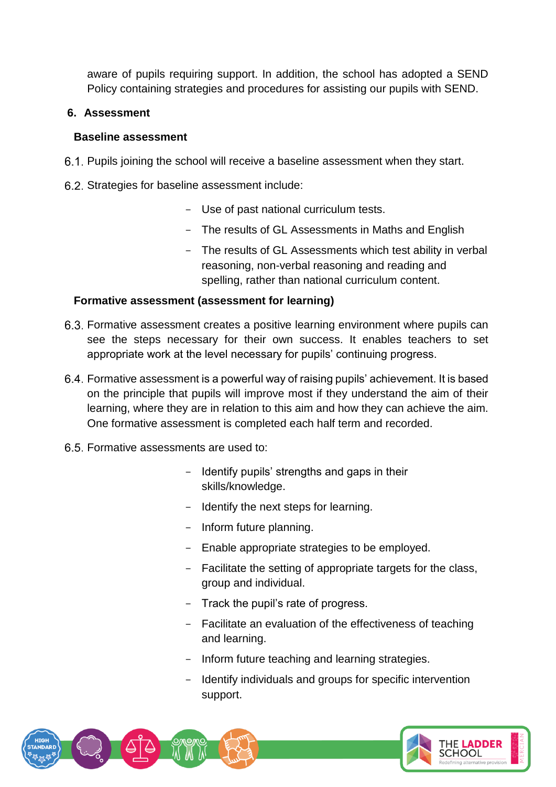aware of pupils requiring support. In addition, the school has adopted a SEND Policy containing strategies and procedures for assisting our pupils with SEND.

### **6. Assessment**

#### **Baseline assessment**

- 6.1. Pupils joining the school will receive a baseline assessment when they start.
- 6.2. Strategies for baseline assessment include:
	- Use of past national curriculum tests.
	- The results of GL Assessments in Maths and English
	- The results of GL Assessments which test ability in verbal reasoning, non-verbal reasoning and reading and spelling, rather than national curriculum content.

#### **Formative assessment (assessment for learning)**

- Formative assessment creates a positive learning environment where pupils can see the steps necessary for their own success. It enables teachers to set appropriate work at the level necessary for pupils' continuing progress.
- Formative assessment is a powerful way of raising pupils' achievement. It is based on the principle that pupils will improve most if they understand the aim of their learning, where they are in relation to this aim and how they can achieve the aim. One formative assessment is completed each half term and recorded.
- Formative assessments are used to:
	- Identify pupils' strengths and gaps in their skills/knowledge.
	- Identify the next steps for learning.
	- Inform future planning.
	- Enable appropriate strategies to be employed.
	- Facilitate the setting of appropriate targets for the class, group and individual.
	- Track the pupil's rate of progress.
	- Facilitate an evaluation of the effectiveness of teaching and learning.
	- Inform future teaching and learning strategies.
	- Identify individuals and groups for specific intervention support.

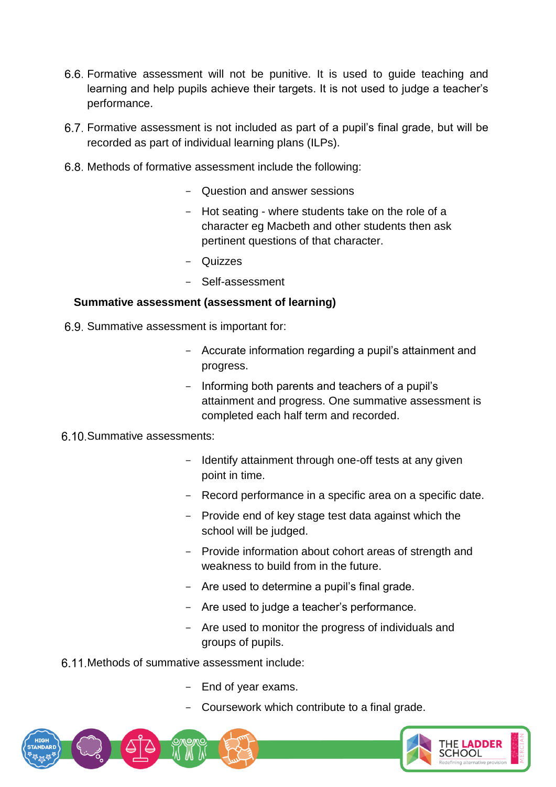- Formative assessment will not be punitive. It is used to guide teaching and learning and help pupils achieve their targets. It is not used to judge a teacher's performance.
- Formative assessment is not included as part of a pupil's final grade, but will be recorded as part of individual learning plans (ILPs).
- 6.8. Methods of formative assessment include the following:
	- Question and answer sessions
	- Hot seating where students take on the role of a character eg Macbeth and other students then ask pertinent questions of that character.
	- Quizzes
	- Self-assessment

#### **Summative assessment (assessment of learning)**

- 6.9. Summative assessment is important for:
	- Accurate information regarding a pupil's attainment and progress.
	- Informing both parents and teachers of a pupil's attainment and progress. One summative assessment is completed each half term and recorded.

#### Summative assessments:

- Identify attainment through one-off tests at any given point in time.
- Record performance in a specific area on a specific date.
- Provide end of key stage test data against which the school will be judged.
- Provide information about cohort areas of strength and weakness to build from in the future.
- Are used to determine a pupil's final grade.
- Are used to judge a teacher's performance.
- Are used to monitor the progress of individuals and groups of pupils.
- 6.11 Methods of summative assessment include:
	- End of year exams.
	- Coursework which contribute to a final grade.